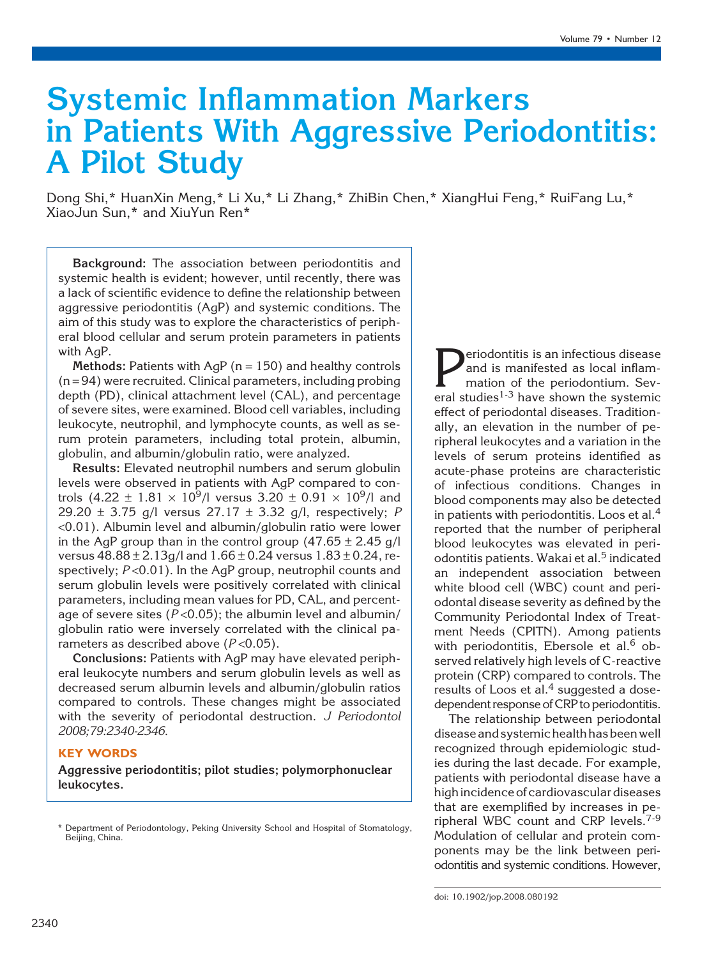# Systemic Inflammation Markers in Patients With Aggressive Periodontitis: A Pilot Study

Dong Shi,\* HuanXin Meng,\* Li Xu,\* Li Zhang,\* ZhiBin Chen,\* XiangHui Feng,\* RuiFang Lu,\* XiaoJun Sun,\* and XiuYun Ren\*

Background: The association between periodontitis and systemic health is evident; however, until recently, there was a lack of scientific evidence to define the relationship between aggressive periodontitis (AgP) and systemic conditions. The aim of this study was to explore the characteristics of peripheral blood cellular and serum protein parameters in patients with AgP.

Methods: Patients with AgP ( $n = 150$ ) and healthy controls  $(n = 94)$  were recruited. Clinical parameters, including probing depth (PD), clinical attachment level (CAL), and percentage of severe sites, were examined. Blood cell variables, including leukocyte, neutrophil, and lymphocyte counts, as well as serum protein parameters, including total protein, albumin, globulin, and albumin/globulin ratio, were analyzed.

Results: Elevated neutrophil numbers and serum globulin levels were observed in patients with AgP compared to controls  $(4.22 \pm 1.81 \times 10^9)$  versus 3.20  $\pm$  0.91  $\times$  10<sup>9</sup>/l and 29.20  $\pm$  3.75 g/l versus 27.17  $\pm$  3.32 g/l, respectively; P <0.01). Albumin level and albumin/globulin ratio were lower in the AgP group than in the control group  $(47.65 \pm 2.45 \text{ g/l})$ versus  $48.88 \pm 2.13$  g/l and  $1.66 \pm 0.24$  versus  $1.83 \pm 0.24$ , respectively;  $P < 0.01$ ). In the AgP group, neutrophil counts and serum globulin levels were positively correlated with clinical parameters, including mean values for PD, CAL, and percentage of severe sites ( $P < 0.05$ ); the albumin level and albumin/ globulin ratio were inversely correlated with the clinical parameters as described above  $(P<0.05)$ .

Conclusions: Patients with AgP may have elevated peripheral leukocyte numbers and serum globulin levels as well as decreased serum albumin levels and albumin/globulin ratios compared to controls. These changes might be associated with the severity of periodontal destruction. J Periodontol 2008;79:2340-2346.

## KEY WORDS

Aggressive periodontitis; pilot studies; polymorphonuclear leukocytes.

**Periodontitis is an infectious disease**<br>and is manifested as local inflam-<br>mation of the periodontium. Several studies<sup>1-3</sup> have shown the systemic and is manifested as local inflammation of the periodontium. Several studies<sup>1-3</sup> have shown the systemic effect of periodontal diseases. Traditionally, an elevation in the number of peripheral leukocytes and a variation in the levels of serum proteins identified as acute-phase proteins are characteristic of infectious conditions. Changes in blood components may also be detected in patients with periodontitis. Loos et al.<sup>4</sup> reported that the number of peripheral blood leukocytes was elevated in periodontitis patients. Wakai et al.<sup>5</sup> indicated an independent association between white blood cell (WBC) count and periodontal disease severity as defined by the Community Periodontal Index of Treatment Needs (CPITN). Among patients with periodontitis, Ebersole et al.<sup>6</sup> observed relatively high levels of C-reactive protein (CRP) compared to controls. The results of Loos et al. $4$  suggested a dosedependent response of CRP to periodontitis.

The relationship between periodontal disease and systemic health has been well recognized through epidemiologic studies during the last decade. For example, patients with periodontal disease have a high incidence of cardiovascular diseases that are exemplified by increases in peripheral WBC count and CRP levels.<sup>7-9</sup> Modulation of cellular and protein components may be the link between periodontitis and systemic conditions. However,

<sup>\*</sup> Department of Periodontology, Peking University School and Hospital of Stomatology, Beijing, China.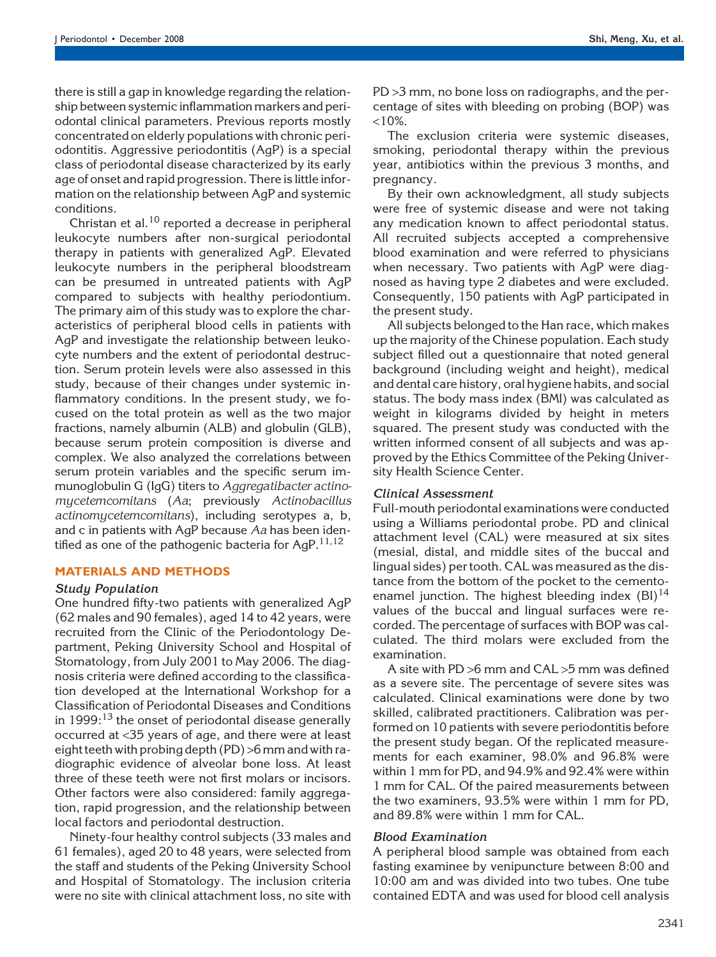there is still a gap in knowledge regarding the relationship between systemic inflammation markers and periodontal clinical parameters. Previous reports mostly concentrated on elderly populations with chronic periodontitis. Aggressive periodontitis (AgP) is a special class of periodontal disease characterized by its early age of onset and rapid progression. There is little information on the relationship between AgP and systemic conditions.

Christan et al.<sup>10</sup> reported a decrease in peripheral leukocyte numbers after non-surgical periodontal therapy in patients with generalized AgP. Elevated leukocyte numbers in the peripheral bloodstream can be presumed in untreated patients with AgP compared to subjects with healthy periodontium. The primary aim of this study was to explore the characteristics of peripheral blood cells in patients with AgP and investigate the relationship between leukocyte numbers and the extent of periodontal destruction. Serum protein levels were also assessed in this study, because of their changes under systemic inflammatory conditions. In the present study, we focused on the total protein as well as the two major fractions, namely albumin (ALB) and globulin (GLB), because serum protein composition is diverse and complex. We also analyzed the correlations between serum protein variables and the specific serum immunoglobulin G (IgG) titers to Aggregatibacter actinomycetemcomitans (Aa; previously Actinobacillus actinomycetemcomitans), including serotypes a, b, and c in patients with AgP because Aa has been identified as one of the pathogenic bacteria for  $AqP$ <sup>11,12</sup>

## MATERIALS AND METHODS

## Study Population

One hundred fifty-two patients with generalized AgP (62 males and 90 females), aged 14 to 42 years, were recruited from the Clinic of the Periodontology Department, Peking University School and Hospital of Stomatology, from July 2001 to May 2006. The diagnosis criteria were defined according to the classification developed at the International Workshop for a Classification of Periodontal Diseases and Conditions in  $1999:^{13}$  the onset of periodontal disease generally occurred at <35 years of age, and there were at least eight teeth with probing depth (PD) >6mm and with radiographic evidence of alveolar bone loss. At least three of these teeth were not first molars or incisors. Other factors were also considered: family aggregation, rapid progression, and the relationship between local factors and periodontal destruction.

Ninety-four healthy control subjects (33 males and 61 females), aged 20 to 48 years, were selected from the staff and students of the Peking University School and Hospital of Stomatology. The inclusion criteria were no site with clinical attachment loss, no site with PD >3 mm, no bone loss on radiographs, and the percentage of sites with bleeding on probing (BOP) was  $<10\%$ .

The exclusion criteria were systemic diseases, smoking, periodontal therapy within the previous year, antibiotics within the previous 3 months, and pregnancy.

By their own acknowledgment, all study subjects were free of systemic disease and were not taking any medication known to affect periodontal status. All recruited subjects accepted a comprehensive blood examination and were referred to physicians when necessary. Two patients with AgP were diagnosed as having type 2 diabetes and were excluded. Consequently, 150 patients with AgP participated in the present study.

All subjects belonged to the Han race, which makes up the majority of the Chinese population. Each study subject filled out a questionnaire that noted general background (including weight and height), medical and dental care history, oral hygiene habits, and social status. The body mass index (BMI) was calculated as weight in kilograms divided by height in meters squared. The present study was conducted with the written informed consent of all subjects and was approved by the Ethics Committee of the Peking University Health Science Center.

## Clinical Assessment

Full-mouth periodontal examinations were conducted using a Williams periodontal probe. PD and clinical attachment level (CAL) were measured at six sites (mesial, distal, and middle sites of the buccal and lingual sides) per tooth. CAL was measured as the distance from the bottom of the pocket to the cementoenamel junction. The highest bleeding index  $(BI)^{14}$ values of the buccal and lingual surfaces were recorded. The percentage of surfaces with BOP was calculated. The third molars were excluded from the examination.

A site with PD >6 mm and CAL >5 mm was defined as a severe site. The percentage of severe sites was calculated. Clinical examinations were done by two skilled, calibrated practitioners. Calibration was performed on 10 patients with severe periodontitis before the present study began. Of the replicated measurements for each examiner, 98.0% and 96.8% were within 1 mm for PD, and 94.9% and 92.4% were within 1 mm for CAL. Of the paired measurements between the two examiners, 93.5% were within 1 mm for PD, and 89.8% were within 1 mm for CAL.

## Blood Examination

A peripheral blood sample was obtained from each fasting examinee by venipuncture between 8:00 and 10:00 am and was divided into two tubes. One tube contained EDTA and was used for blood cell analysis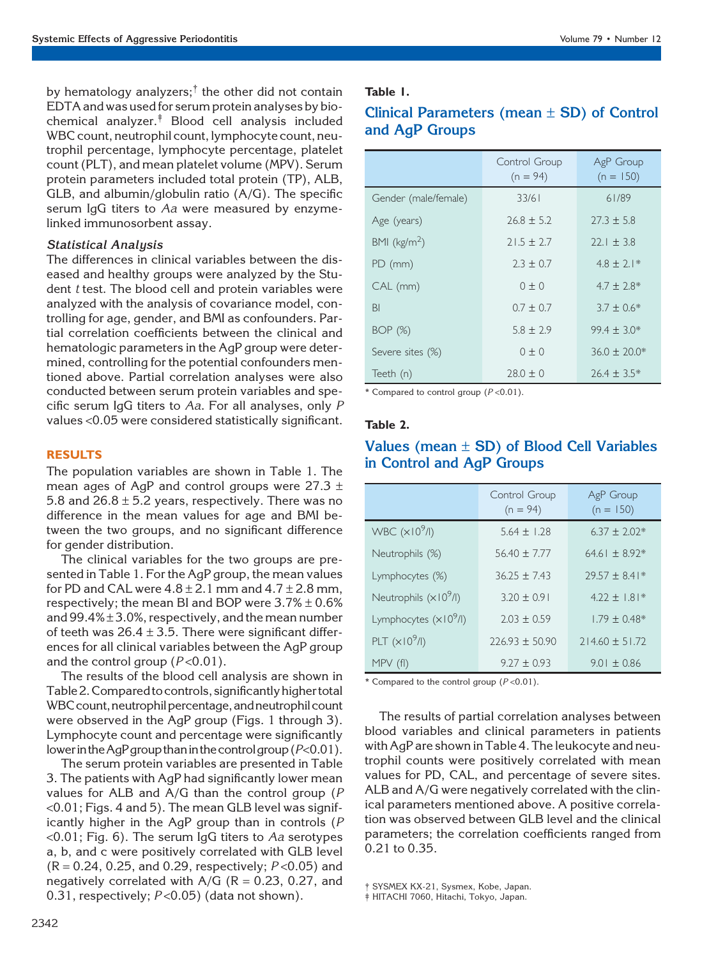by hematology analyzers;<sup>†</sup> the other did not contain EDTA and was used for serum protein analyses by biochemical analyzer.‡ Blood cell analysis included WBC count, neutrophil count, lymphocyte count, neutrophil percentage, lymphocyte percentage, platelet count (PLT), and mean platelet volume (MPV). Serum protein parameters included total protein (TP), ALB, GLB, and albumin/globulin ratio  $(A/G)$ . The specific serum IgG titers to Aa were measured by enzymelinked immunosorbent assay.

## Statistical Analysis

The differences in clinical variables between the diseased and healthy groups were analyzed by the Student *t* test. The blood cell and protein variables were analyzed with the analysis of covariance model, controlling for age, gender, and BMI as confounders. Partial correlation coefficients between the clinical and hematologic parameters in the AgP group were determined, controlling for the potential confounders mentioned above. Partial correlation analyses were also conducted between serum protein variables and specific serum IgG titers to Aa. For all analyses, only P values <0.05 were considered statistically significant.

## RESULTS

The population variables are shown in Table 1. The mean ages of AgP and control groups were 27.3  $\pm$ 5.8 and  $26.8 \pm 5.2$  years, respectively. There was no difference in the mean values for age and BMI between the two groups, and no significant difference for gender distribution.

The clinical variables for the two groups are presented in Table 1. For the AgP group, the mean values for PD and CAL were  $4.8 \pm 2.1$  mm and  $4.7 \pm 2.8$  mm, respectively; the mean BI and BOP were  $3.7\% \pm 0.6\%$ and  $99.4\% \pm 3.0\%$ , respectively, and the mean number of teeth was  $26.4 \pm 3.5$ . There were significant differences for all clinical variables between the AgP group and the control group  $(P<0.01)$ .

The results of the blood cell analysis are shown in Table 2. Compared to controls, significantly higher total WBC count, neutrophil percentage, and neutrophil count were observed in the AgP group (Figs. 1 through 3). Lymphocyte count and percentage were significantly lower in the AgP group than in the control group ( $P<0.01$ ).

The serum protein variables are presented in Table 3. The patients with AgP had significantly lower mean values for ALB and A/G than the control group (P <0.01; Figs. 4 and 5). The mean GLB level was significantly higher in the AgP group than in controls (P  $\leq 0.01$ ; Fig. 6). The serum IgG titers to Aa serotypes a, b, and c were positively correlated with GLB level  $(R = 0.24, 0.25,$  and 0.29, respectively;  $P < 0.05$ ) and negatively correlated with  $A/G$  (R = 0.23, 0.27, and 0.31, respectively;  $P < 0.05$ ) (data not shown).

## Table 1.

# Clinical Parameters (mean  $\pm$  SD) of Control and AgP Groups

|                         | Control Group<br>$(n = 94)$ | AgP Group<br>$(n = 150)$ |
|-------------------------|-----------------------------|--------------------------|
| Gender (male/female)    | 33/61                       | 61/89                    |
| Age (years)             | $26.8 \pm 5.2$              | $27.3 \pm 5.8$           |
| BMI ( $\text{kg/m}^2$ ) | $21.5 \pm 2.7$              | $22.1 \pm 3.8$           |
| PD (mm)                 | $2.3 \pm 0.7$               | $4.8 \pm 2.1*$           |
| CAL (mm)                | $0 \pm 0$                   | $4.7 \pm 2.8^*$          |
| <b>BI</b>               | $0.7 + 0.7$                 | $3.7 \pm 0.6*$           |
| BOP (%)                 | $5.8 \pm 2.9$               | $99.4 \pm 3.0*$          |
| Severe sites (%)        | $0 \pm 0$                   | $36.0 \pm 20.0*$         |
| Teeth (n)               | $28.0 \pm 0$                | $26.4 \pm 3.5*$          |

\* Compared to control group  $(P < 0.01)$ .

## Table 2.

|                        | Control Group<br>$(n = 94)$ | AgP Group<br>$(n = 150)$ |  |
|------------------------|-----------------------------|--------------------------|--|
| WBC $(x109/I)$         | $5.64 + 1.28$               | $6.37 + 2.02*$           |  |
| Neutrophils (%)        | $56.40 \pm 7.77$            | $64.61 + 8.92*$          |  |
| Lymphocytes (%)        | $36.25 + 7.43$              | $79.57 + 8.41*$          |  |
| Neutrophils $(x109/I)$ | $3.20 + 0.91$               | $4.22 \pm 1.81*$         |  |
| Lymphocytes $(x109/I)$ | $2.03 + 0.59$               | $1.79 \pm 0.48*$         |  |
| PLT $(x109/I)$         | $226.93 + 50.90$            | $714.60 + 51.72$         |  |
| $MPV$ (fl)             | $9.27 \pm 0.93$             | $9.01 \pm 0.86$          |  |

# Values (mean  $\pm$  SD) of Blood Cell Variables in Control and AgP Groups

\* Compared to the control group  $(P < 0.01)$ .

The results of partial correlation analyses between blood variables and clinical parameters in patients with AgP are shown in Table 4. The leukocyte and neutrophil counts were positively correlated with mean values for PD, CAL, and percentage of severe sites. ALB and A/G were negatively correlated with the clinical parameters mentioned above. A positive correlation was observed between GLB level and the clinical parameters; the correlation coefficients ranged from 0.21 to 0.35.

SYSMEX KX-21, Sysmex, Kobe, Japan.

‡ HITACHI 7060, Hitachi, Tokyo, Japan.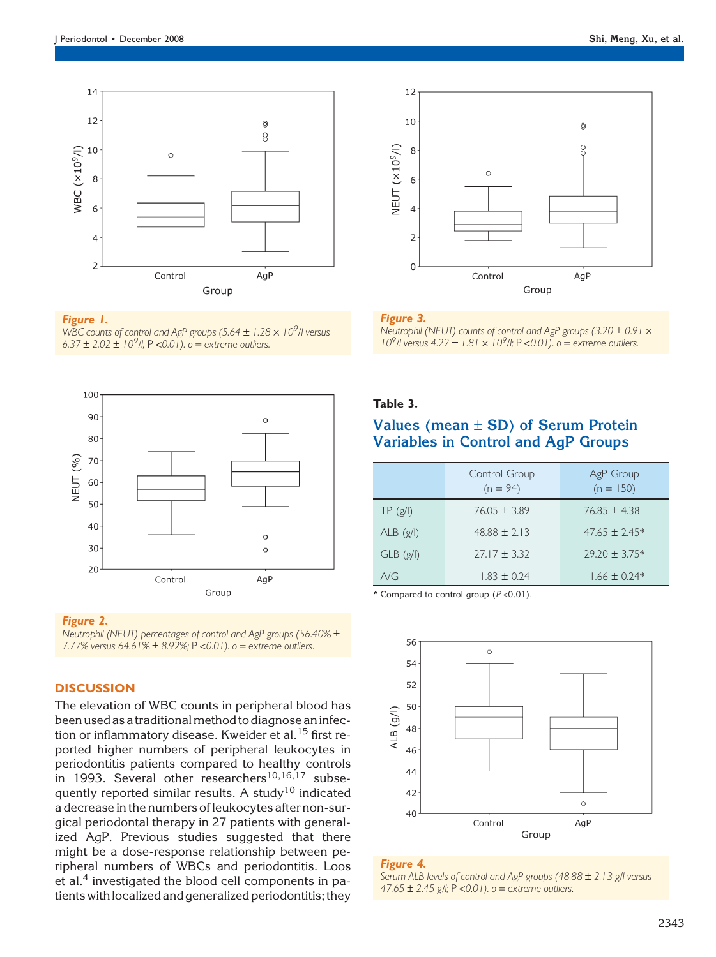

## Figure 1.

WBC counts of control and AgP groups (5.64  $\pm$  1.28  $\times$  10<sup>9</sup>/I versus 6.37  $\pm$  2.02  $\pm$  10<sup>9</sup>/l; P < 0.01).  $\circ$  = extreme outliers.



#### Figure 2.

Neutrophil (NEUT) percentages of control and AgP groups (56.40% – 7.77% versus  $64.61\% \pm 8.92\%$ ; P < 0.01). o = extreme outliers.

## **DISCUSSION**

The elevation of WBC counts in peripheral blood has been used as a traditionalmethod to diagnose an infection or inflammatory disease. Kweider et al.<sup>15</sup> first reported higher numbers of peripheral leukocytes in periodontitis patients compared to healthy controls in 1993. Several other researchers<sup>10,16,17</sup> subsequently reported similar results. A study<sup>10</sup> indicated a decrease in the numbers of leukocytes after non-surgical periodontal therapy in 27 patients with generalized AgP. Previous studies suggested that there might be a dose-response relationship between peripheral numbers of WBCs and periodontitis. Loos et al.<sup>4</sup> investigated the blood cell components in patients with localized and generalized periodontitis; they



## Figure 3.

Neutrophil (NEUT) counts of control and AgP groups (3.20  $\pm$  0.91  $\times$  $10^{9}$ /l versus  $4.22 \pm 1.81 \times 10^{9}$ /l; P <0.01). o = extreme outliers.

## Table 3.

# Values (mean  $\pm$  SD) of Serum Protein Variables in Control and AgP Groups

|               | Control Group<br>$(n = 94)$ | AgP Group<br>$(n = 150)$ |
|---------------|-----------------------------|--------------------------|
| TP(g/l)       | $76.05 + 3.89$              | $76.85 \pm 4.38$         |
| $ALB$ (g/l)   | $48.88 + 2.13$              | $47.65 + 2.45*$          |
| $GLB$ $(g/l)$ | $27.17 \pm 3.32$            | $29.20 \pm 3.75*$        |
| A/G           | $1.83 \pm 0.24$             | $1.66 + 0.24*$           |

\* Compared to control group  $(P < 0.01)$ .



## Figure 4.

Serum ALB levels of control and AgP groups (48.88 ± 2.13 g/l versus 47.65  $\pm$  2.45 g/l; P < 0.01). o = extreme outliers.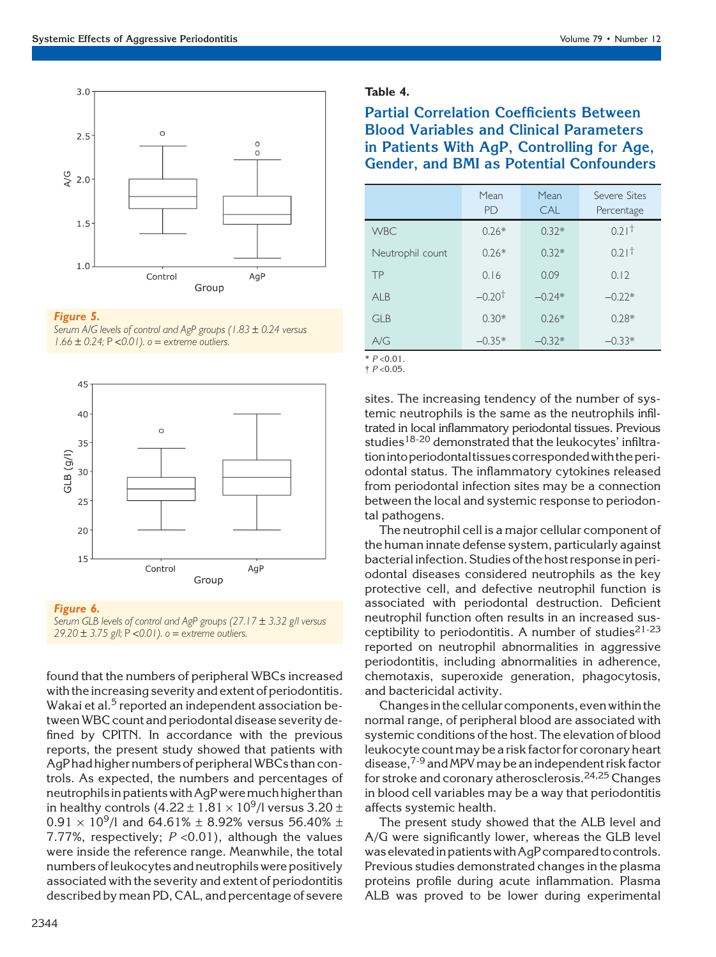

## Figure 5.

Serum A/G levels of control and AgP groups (1.83 ± 0.24 versus  $1.66 \pm 0.24$ ; P < 0.01). o = extreme outliers.



#### Figure 6.

Serum GLB levels of control and AgP groups (27.17  $\pm$  3.32 g/l versus 29.20  $\pm$  3.75 g/l; P < 0.01). o = extreme outliers.

found that the numbers of peripheral WBCs increased with the increasing severity and extent of periodontitis. Wakai et al. $5$  reported an independent association betweenWBC count and periodontal disease severity defined by CPITN. In accordance with the previous reports, the present study showed that patients with AgP had higher numbers of peripheral WBCs than controls. As expected, the numbers and percentages of neutrophilsin patients with AgP weremuch higher than in healthy controls  $(4.22 \pm 1.81 \times 10^9)$  versus 3.20  $\pm$  $0.91 \times 10^9$ /l and 64.61% ± 8.92% versus 56.40% ± 7.77%, respectively;  $P < 0.01$ ), although the values were inside the reference range. Meanwhile, the total numbers of leukocytes and neutrophils were positively associated with the severity and extent of periodontitis described bymean PD, CAL, and percentage of severe

## Table 4.

Partial Correlation Coefficients Between Blood Variables and Clinical Parameters in Patients With AgP, Controlling for Age, Gender, and BMI as Potential Confounders

|                  | Mean<br><b>PD</b> | Mean<br>CAL | Severe Sites<br>Percentage |
|------------------|-------------------|-------------|----------------------------|
| <b>WBC</b>       | $0.26*$           | $0.32*$     | 0.21 <sup>†</sup>          |
| Neutrophil count | $0.26*$           | $0.32*$     | 0.21 <sup>†</sup>          |
| TP               | 0.16              | 0.09        | 0.12                       |
| AIB              | $-0.20†$          | $-0.24*$    | $-0.22*$                   |
| GIR              | $0.30*$           | $0.26*$     | $0.28*$                    |
| A/G              | $-0.35*$          | $-0.32*$    | $-0.33*$                   |

 $* P < 0.01$ .  $\dagger$  P < 0.05.

> sites. The increasing tendency of the number of systemic neutrophils is the same as the neutrophils infiltrated in local inflammatory periodontal tissues. Previous studies<sup>18-20</sup> demonstrated that the leukocytes' infiltrationintoperiodontal tissuescorrespondedwith theperiodontal status. The inflammatory cytokines released from periodontal infection sites may be a connection between the local and systemic response to periodontal pathogens.

> The neutrophil cell is a major cellular component of the human innate defense system, particularly against bacterial infection. Studies of the host response in periodontal diseases considered neutrophils as the key protective cell, and defective neutrophil function is associated with periodontal destruction. Deficient neutrophil function often results in an increased susceptibility to periodontitis. A number of studies<sup>21-23</sup> reported on neutrophil abnormalities in aggressive periodontitis, including abnormalities in adherence, chemotaxis, superoxide generation, phagocytosis, and bactericidal activity.

> Changesin the cellular components, even within the normal range, of peripheral blood are associated with systemic conditions of the host. The elevation of blood leukocyte countmay be a risk factor for coronary heart disease,<sup>7-9</sup> and MPV may be an independent risk factor for stroke and coronary atherosclerosis.<sup>24,25</sup> Changes in blood cell variables may be a way that periodontitis affects systemic health.

> The present study showed that the ALB level and A/G were significantly lower, whereas the GLB level was elevatedinpatientswithAgP compared to controls. Previous studies demonstrated changes in the plasma proteins profile during acute inflammation. Plasma ALB was proved to be lower during experimental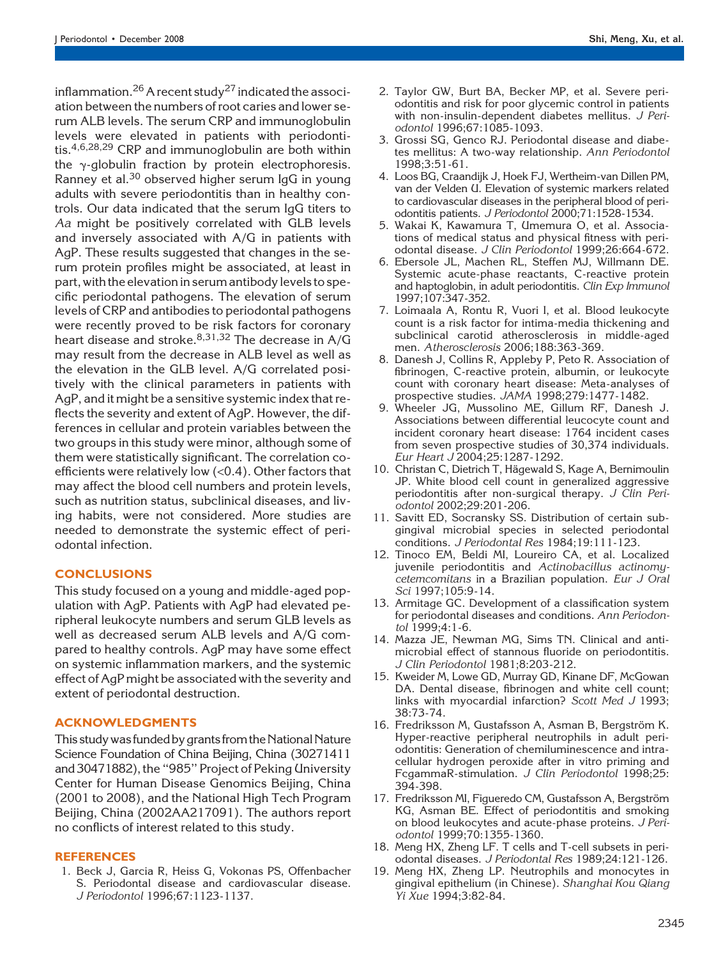inflammation.<sup>26</sup> A recent study<sup>27</sup> indicated the association between the numbers of root caries and lower serum ALB levels. The serum CRP and immunoglobulin levels were elevated in patients with periodontitis.4,6,28,29 CRP and immunoglobulin are both within the  $\gamma$ -globulin fraction by protein electrophoresis. Ranney et al.<sup>30</sup> observed higher serum IgG in young adults with severe periodontitis than in healthy controls. Our data indicated that the serum IgG titers to Aa might be positively correlated with GLB levels and inversely associated with A/G in patients with AgP. These results suggested that changes in the serum protein profiles might be associated, at least in part, with the elevation in serum antibody levels to specific periodontal pathogens. The elevation of serum levels of CRP and antibodies to periodontal pathogens were recently proved to be risk factors for coronary heart disease and stroke.<sup>8,31,32</sup> The decrease in  $A/G$ may result from the decrease in ALB level as well as the elevation in the GLB level. A/G correlated positively with the clinical parameters in patients with AgP, and it might be a sensitive systemic index that reflects the severity and extent of AgP. However, the differences in cellular and protein variables between the two groups in this study were minor, although some of them were statistically significant. The correlation coefficients were relatively low (<0.4). Other factors that may affect the blood cell numbers and protein levels, such as nutrition status, subclinical diseases, and living habits, were not considered. More studies are needed to demonstrate the systemic effect of periodontal infection.

## **CONCLUSIONS**

This study focused on a young and middle-aged population with AgP. Patients with AgP had elevated peripheral leukocyte numbers and serum GLB levels as well as decreased serum ALB levels and A/G compared to healthy controls. AgP may have some effect on systemic inflammation markers, and the systemic effect of AgP might be associated with the severity and extent of periodontal destruction.

## ACKNOWLEDGMENTS

This study was funded by grants from the National Nature Science Foundation of China Beijing, China (30271411 and 30471882), the ''985'' Project of Peking University Center for Human Disease Genomics Beijing, China (2001 to 2008), and the National High Tech Program Beijing, China (2002AA217091). The authors report no conflicts of interest related to this study.

## REFERENCES

1. Beck J, Garcia R, Heiss G, Vokonas PS, Offenbacher S. Periodontal disease and cardiovascular disease. J Periodontol 1996;67:1123-1137.

- 2. Taylor GW, Burt BA, Becker MP, et al. Severe periodontitis and risk for poor glycemic control in patients with non-insulin-dependent diabetes mellitus. J Periodontol 1996;67:1085-1093.
- 3. Grossi SG, Genco RJ. Periodontal disease and diabetes mellitus: A two-way relationship. Ann Periodontol 1998;3:51-61.
- 4. Loos BG, Craandijk J, Hoek FJ, Wertheim-van Dillen PM, van der Velden U. Elevation of systemic markers related to cardiovascular diseases in the peripheral blood of periodontitis patients. J Periodontol 2000;71:1528-1534.
- 5. Wakai K, Kawamura T, Umemura O, et al. Associations of medical status and physical fitness with periodontal disease. J Clin Periodontol 1999;26:664-672.
- 6. Ebersole JL, Machen RL, Steffen MJ, Willmann DE. Systemic acute-phase reactants, C-reactive protein and haptoglobin, in adult periodontitis. Clin Exp Immunol 1997;107:347-352.
- 7. Loimaala A, Rontu R, Vuori I, et al. Blood leukocyte count is a risk factor for intima-media thickening and subclinical carotid atherosclerosis in middle-aged men. Atherosclerosis 2006;188:363-369.
- 8. Danesh J, Collins R, Appleby P, Peto R. Association of fibrinogen, C-reactive protein, albumin, or leukocyte count with coronary heart disease: Meta-analyses of prospective studies. JAMA 1998;279:1477-1482.
- 9. Wheeler JG, Mussolino ME, Gillum RF, Danesh J. Associations between differential leucocyte count and incident coronary heart disease: 1764 incident cases from seven prospective studies of 30,374 individuals. Eur Heart J 2004;25:1287-1292.
- 10. Christan C, Dietrich T, Hägewald S, Kage A, Bernimoulin JP. White blood cell count in generalized aggressive periodontitis after non-surgical therapy. J Clin Periodontol 2002;29:201-206.
- 11. Savitt ED, Socransky SS. Distribution of certain subgingival microbial species in selected periodontal conditions. J Periodontal Res 1984;19:111-123.
- 12. Tinoco EM, Beldi MI, Loureiro CA, et al. Localized juvenile periodontitis and Actinobacillus actinomycetemcomitans in a Brazilian population. Eur J Oral Sci 1997;105:9-14.
- 13. Armitage GC. Development of a classification system for periodontal diseases and conditions. Ann Periodontol 1999;4:1-6.
- 14. Mazza JE, Newman MG, Sims TN. Clinical and antimicrobial effect of stannous fluoride on periodontitis. J Clin Periodontol 1981;8:203-212.
- 15. Kweider M, Lowe GD, Murray GD, Kinane DF, McGowan DA. Dental disease, fibrinogen and white cell count; links with myocardial infarction? Scott Med J 1993; 38:73-74.
- 16. Fredriksson M, Gustafsson A, Asman B, Bergström K. Hyper-reactive peripheral neutrophils in adult periodontitis: Generation of chemiluminescence and intracellular hydrogen peroxide after in vitro priming and FcgammaR-stimulation. J Clin Periodontol 1998;25: 394-398.
- 17. Fredriksson MI, Figueredo CM, Gustafsson A, Bergström KG, Asman BE. Effect of periodontitis and smoking on blood leukocytes and acute-phase proteins. J Periodontol 1999;70:1355-1360.
- 18. Meng HX, Zheng LF. T cells and T-cell subsets in periodontal diseases. J Periodontal Res 1989;24:121-126.
- 19. Meng HX, Zheng LP. Neutrophils and monocytes in gingival epithelium (in Chinese). Shanghai Kou Qiang Yi Xue 1994;3:82-84.